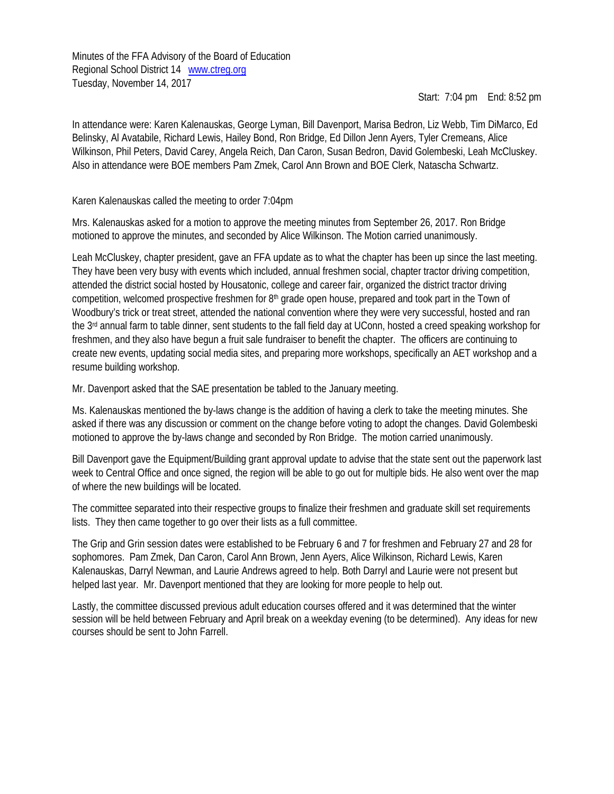Minutes of the FFA Advisory of the Board of Education Regional School District 14 [www.ctreg.org](http://www.ctreg.org/) Tuesday, November 14, 2017

Start: 7:04 pm End: 8:52 pm

In attendance were: Karen Kalenauskas, George Lyman, Bill Davenport, Marisa Bedron, Liz Webb, Tim DiMarco, Ed Belinsky, Al Avatabile, Richard Lewis, Hailey Bond, Ron Bridge, Ed Dillon Jenn Ayers, Tyler Cremeans, Alice Wilkinson, Phil Peters, David Carey, Angela Reich, Dan Caron, Susan Bedron, David Golembeski, Leah McCluskey. Also in attendance were BOE members Pam Zmek, Carol Ann Brown and BOE Clerk, Natascha Schwartz.

Karen Kalenauskas called the meeting to order 7:04pm

Mrs. Kalenauskas asked for a motion to approve the meeting minutes from September 26, 2017. Ron Bridge motioned to approve the minutes, and seconded by Alice Wilkinson. The Motion carried unanimously.

Leah McCluskey, chapter president, gave an FFA update as to what the chapter has been up since the last meeting. They have been very busy with events which included, annual freshmen social, chapter tractor driving competition, attended the district social hosted by Housatonic, college and career fair, organized the district tractor driving competition, welcomed prospective freshmen for 8<sup>th</sup> grade open house, prepared and took part in the Town of Woodbury's trick or treat street, attended the national convention where they were very successful, hosted and ran the 3rd annual farm to table dinner, sent students to the fall field day at UConn, hosted a creed speaking workshop for freshmen, and they also have begun a fruit sale fundraiser to benefit the chapter. The officers are continuing to create new events, updating social media sites, and preparing more workshops, specifically an AET workshop and a resume building workshop.

Mr. Davenport asked that the SAE presentation be tabled to the January meeting.

Ms. Kalenauskas mentioned the by-laws change is the addition of having a clerk to take the meeting minutes. She asked if there was any discussion or comment on the change before voting to adopt the changes. David Golembeski motioned to approve the by-laws change and seconded by Ron Bridge. The motion carried unanimously.

Bill Davenport gave the Equipment/Building grant approval update to advise that the state sent out the paperwork last week to Central Office and once signed, the region will be able to go out for multiple bids. He also went over the map of where the new buildings will be located.

The committee separated into their respective groups to finalize their freshmen and graduate skill set requirements lists. They then came together to go over their lists as a full committee.

The Grip and Grin session dates were established to be February 6 and 7 for freshmen and February 27 and 28 for sophomores. Pam Zmek, Dan Caron, Carol Ann Brown, Jenn Ayers, Alice Wilkinson, Richard Lewis, Karen Kalenauskas, Darryl Newman, and Laurie Andrews agreed to help. Both Darryl and Laurie were not present but helped last year. Mr. Davenport mentioned that they are looking for more people to help out.

Lastly, the committee discussed previous adult education courses offered and it was determined that the winter session will be held between February and April break on a weekday evening (to be determined). Any ideas for new courses should be sent to John Farrell.